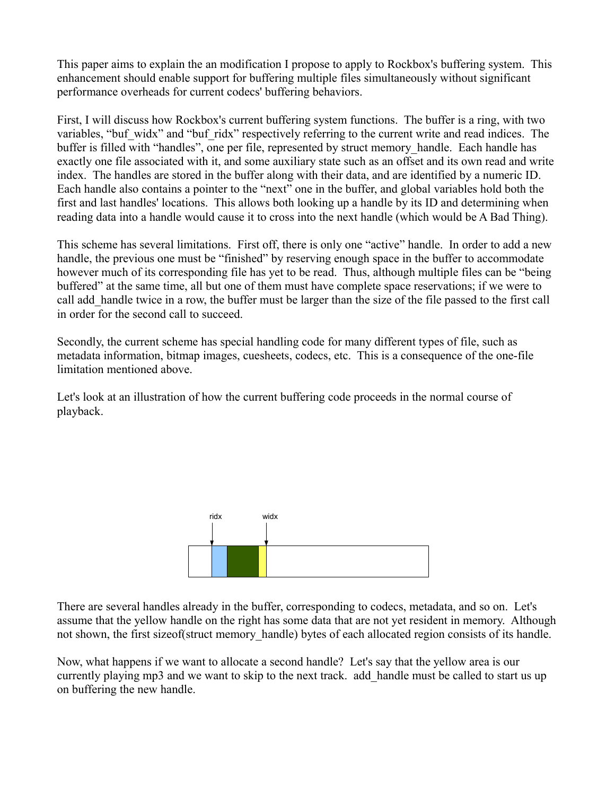This paper aims to explain the an modification I propose to apply to Rockbox's buffering system. This enhancement should enable support for buffering multiple files simultaneously without significant performance overheads for current codecs' buffering behaviors.

First, I will discuss how Rockbox's current buffering system functions. The buffer is a ring, with two variables, "buf\_widx" and "buf\_ridx" respectively referring to the current write and read indices. The buffer is filled with "handles", one per file, represented by struct memory handle. Each handle has exactly one file associated with it, and some auxiliary state such as an offset and its own read and write index. The handles are stored in the buffer along with their data, and are identified by a numeric ID. Each handle also contains a pointer to the "next" one in the buffer, and global variables hold both the first and last handles' locations. This allows both looking up a handle by its ID and determining when reading data into a handle would cause it to cross into the next handle (which would be A Bad Thing).

This scheme has several limitations. First off, there is only one "active" handle. In order to add a new handle, the previous one must be "finished" by reserving enough space in the buffer to accommodate however much of its corresponding file has yet to be read. Thus, although multiple files can be "being buffered" at the same time, all but one of them must have complete space reservations; if we were to call add\_handle twice in a row, the buffer must be larger than the size of the file passed to the first call in order for the second call to succeed.

Secondly, the current scheme has special handling code for many different types of file, such as metadata information, bitmap images, cuesheets, codecs, etc. This is a consequence of the one-file limitation mentioned above.

Let's look at an illustration of how the current buffering code proceeds in the normal course of playback.



There are several handles already in the buffer, corresponding to codecs, metadata, and so on. Let's assume that the yellow handle on the right has some data that are not yet resident in memory. Although not shown, the first sizeof(struct memory handle) bytes of each allocated region consists of its handle.

Now, what happens if we want to allocate a second handle? Let's say that the yellow area is our currently playing mp3 and we want to skip to the next track. add\_handle must be called to start us up on buffering the new handle.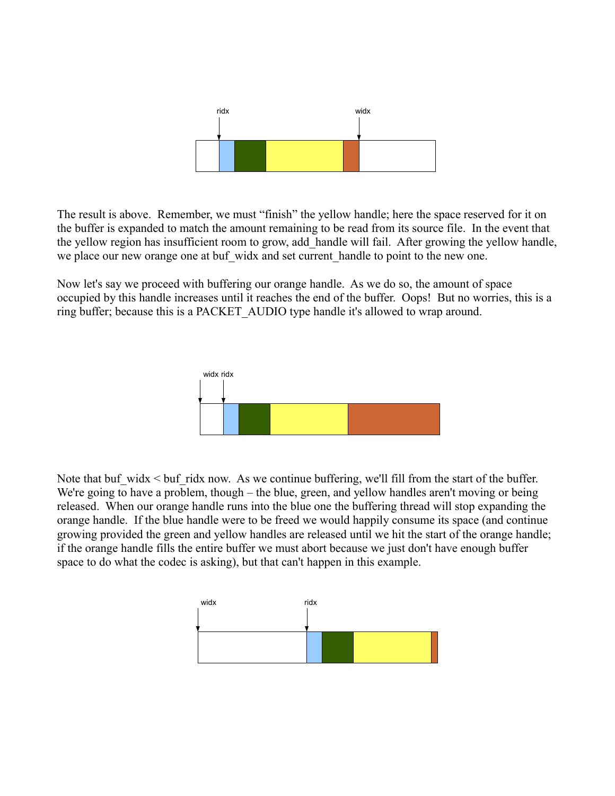

The result is above. Remember, we must "finish" the yellow handle; here the space reserved for it on the buffer is expanded to match the amount remaining to be read from its source file. In the event that the yellow region has insufficient room to grow, add\_handle will fail. After growing the yellow handle, we place our new orange one at buf widx and set current handle to point to the new one.

Now let's say we proceed with buffering our orange handle. As we do so, the amount of space occupied by this handle increases until it reaches the end of the buffer. Oops! But no worries, this is a ring buffer; because this is a PACKET\_AUDIO type handle it's allowed to wrap around.



Note that buf widx  $\leq$  buf ridx now. As we continue buffering, we'll fill from the start of the buffer. We're going to have a problem, though – the blue, green, and yellow handles aren't moving or being released. When our orange handle runs into the blue one the buffering thread will stop expanding the orange handle. If the blue handle were to be freed we would happily consume its space (and continue growing provided the green and yellow handles are released until we hit the start of the orange handle; if the orange handle fills the entire buffer we must abort because we just don't have enough buffer space to do what the codec is asking), but that can't happen in this example.

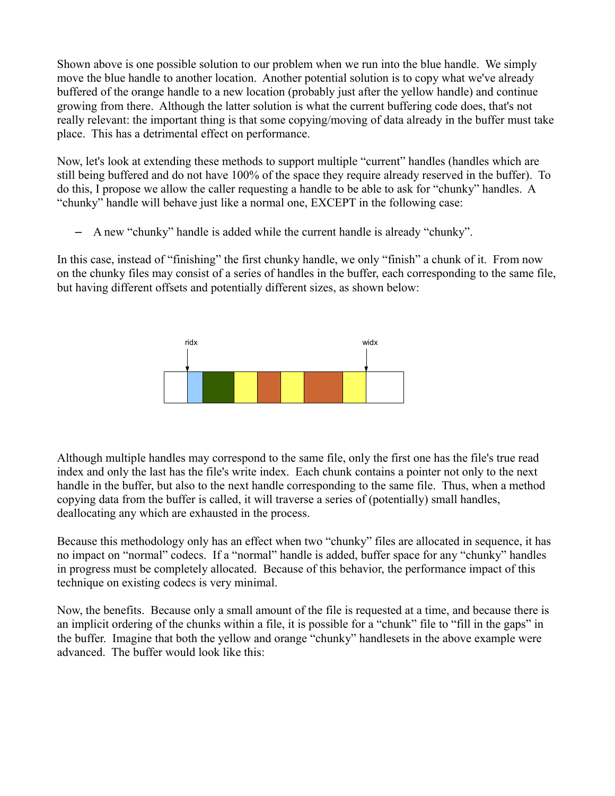Shown above is one possible solution to our problem when we run into the blue handle. We simply move the blue handle to another location. Another potential solution is to copy what we've already buffered of the orange handle to a new location (probably just after the yellow handle) and continue growing from there. Although the latter solution is what the current buffering code does, that's not really relevant: the important thing is that some copying/moving of data already in the buffer must take place. This has a detrimental effect on performance.

Now, let's look at extending these methods to support multiple "current" handles (handles which are still being buffered and do not have 100% of the space they require already reserved in the buffer). To do this, I propose we allow the caller requesting a handle to be able to ask for "chunky" handles. A "chunky" handle will behave just like a normal one, EXCEPT in the following case:

– A new "chunky" handle is added while the current handle is already "chunky".

In this case, instead of "finishing" the first chunky handle, we only "finish" a chunk of it. From now on the chunky files may consist of a series of handles in the buffer, each corresponding to the same file, but having different offsets and potentially different sizes, as shown below:



Although multiple handles may correspond to the same file, only the first one has the file's true read index and only the last has the file's write index. Each chunk contains a pointer not only to the next handle in the buffer, but also to the next handle corresponding to the same file. Thus, when a method copying data from the buffer is called, it will traverse a series of (potentially) small handles, deallocating any which are exhausted in the process.

Because this methodology only has an effect when two "chunky" files are allocated in sequence, it has no impact on "normal" codecs. If a "normal" handle is added, buffer space for any "chunky" handles in progress must be completely allocated. Because of this behavior, the performance impact of this technique on existing codecs is very minimal.

Now, the benefits. Because only a small amount of the file is requested at a time, and because there is an implicit ordering of the chunks within a file, it is possible for a "chunk" file to "fill in the gaps" in the buffer. Imagine that both the yellow and orange "chunky" handlesets in the above example were advanced. The buffer would look like this: